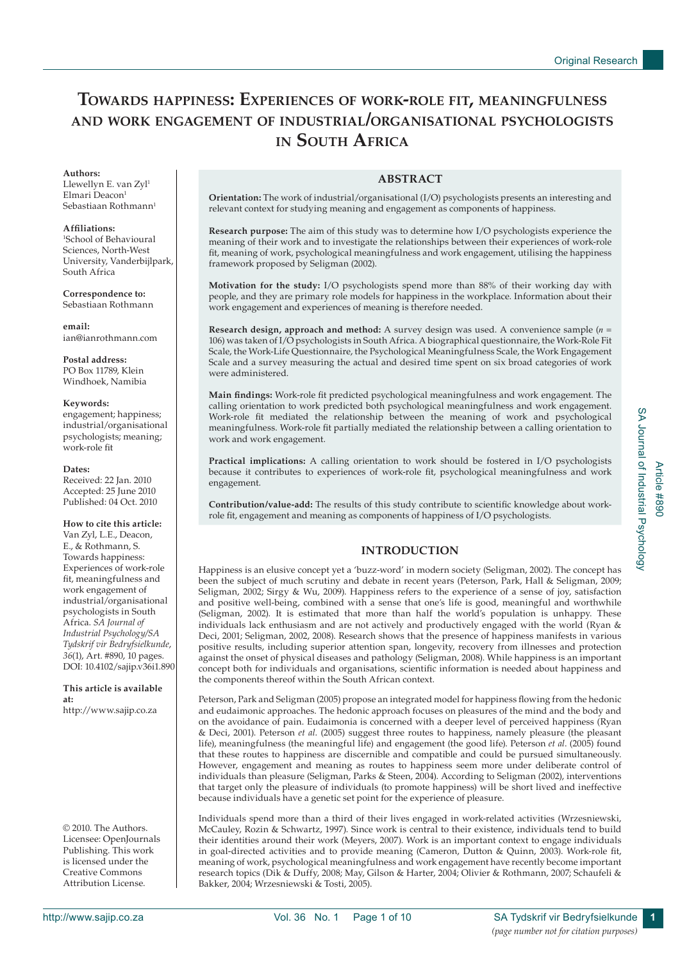# **Towards happiness: Experiences of work-role fit, meaningfulness and work engagement of industrial/organisational psychologists in South Africa**

#### **Authors:**

Llewellyn E. van Zyl1 Elmari Deacon<sup>1</sup> Sebastiaan Rothmann1

#### **Affiliations:**

1 School of Behavioural Sciences, North-West University, Vanderbijlpark, South Africa

**Correspondence to:** Sebastiaan Rothmann

**email:** ian@ianrothmann.com

**Postal address:** PO Box 11789, Klein Windhoek, Namibia

#### **Keywords:**

engagement; happiness; industrial/organisational psychologists; meaning; work-role fit

#### **Dates:**

Received: 22 Jan. 2010 Accepted: 25 June 2010 Published: 04 Oct. 2010

#### **How to cite this article:**

Van Zyl, L.E., Deacon, E., & Rothmann, S. Towards happiness: Experiences of work-role fit, meaningfulness and work engagement of industrial/organisational psychologists in South Africa. *SA Journal of Industrial Psychology/SA Tydskrif vir Bedryfsielkunde*, *36*(1), Art. #890, 10 pages. DOI: 10.4102/sajip.v36i1.890

**This article is available at:** http://www.sajip.co.za

© 2010. The Authors. Licensee: OpenJournals Publishing. This work is licensed under the Creative Commons Attribution License.

## **ABSTRACT**

**Orientation:** The work of industrial/organisational (I/O) psychologists presents an interesting and relevant context for studying meaning and engagement as components of happiness.

**Research purpose:** The aim of this study was to determine how I/O psychologists experience the meaning of their work and to investigate the relationships between their experiences of work-role fit, meaning of work, psychological meaningfulness and work engagement, utilising the happiness framework proposed by Seligman (2002).

**Motivation for the study:** I/O psychologists spend more than 88% of their working day with people, and they are primary role models for happiness in the workplace. Information about their work engagement and experiences of meaning is therefore needed.

**Research design, approach and method:** A survey design was used. A convenience sample (*n* = 106) was taken of I/O psychologists in South Africa. A biographical questionnaire, the Work-Role Fit Scale, the Work-Life Questionnaire, the Psychological Meaningfulness Scale, the Work Engagement Scale and a survey measuring the actual and desired time spent on six broad categories of work were administered.

**Main findings:** Work-role fit predicted psychological meaningfulness and work engagement. The calling orientation to work predicted both psychological meaningfulness and work engagement. Work-role fit mediated the relationship between the meaning of work and psychological meaningfulness. Work-role fit partially mediated the relationship between a calling orientation to work and work engagement.

**Practical implications:** A calling orientation to work should be fostered in I/O psychologists because it contributes to experiences of work-role fit, psychological meaningfulness and work engagement.

**Contribution/value-add:** The results of this study contribute to scientific knowledge about workrole fit, engagement and meaning as components of happiness of I/O psychologists.

## **INTRODUCTION**

Happiness is an elusive concept yet a 'buzz-word' in modern society (Seligman, 2002). The concept has been the subject of much scrutiny and debate in recent years (Peterson, Park, Hall & Seligman, 2009; Seligman, 2002; Sirgy & Wu, 2009). Happiness refers to the experience of a sense of joy, satisfaction and positive well-being, combined with a sense that one's life is good, meaningful and worthwhile (Seligman, 2002). It is estimated that more than half the world's population is unhappy. These individuals lack enthusiasm and are not actively and productively engaged with the world (Ryan & Deci, 2001; Seligman, 2002, 2008). Research shows that the presence of happiness manifests in various positive results, including superior attention span, longevity, recovery from illnesses and protection against the onset of physical diseases and pathology (Seligman, 2008). While happiness is an important concept both for individuals and organisations, scientific information is needed about happiness and the components thereof within the South African context.

Peterson, Park and Seligman (2005) propose an integrated model for happiness flowing from the hedonic and eudaimonic approaches. The hedonic approach focuses on pleasures of the mind and the body and on the avoidance of pain. Eudaimonia is concerned with a deeper level of perceived happiness (Ryan & Deci, 2001). Peterson *et al*. (2005) suggest three routes to happiness, namely pleasure (the pleasant life), meaningfulness (the meaningful life) and engagement (the good life). Peterson *et al*. (2005) found that these routes to happiness are discernible and compatible and could be pursued simultaneously. However, engagement and meaning as routes to happiness seem more under deliberate control of individuals than pleasure (Seligman, Parks & Steen, 2004). According to Seligman (2002), interventions that target only the pleasure of individuals (to promote happiness) will be short lived and ineffective because individuals have a genetic set point for the experience of pleasure.

Individuals spend more than a third of their lives engaged in work-related activities (Wrzesniewski, McCauley, Rozin & Schwartz, 1997). Since work is central to their existence, individuals tend to build their identities around their work (Meyers, 2007). Work is an important context to engage individuals in goal-directed activities and to provide meaning (Cameron, Dutton & Quinn, 2003). Work-role fit, meaning of work, psychological meaningfulness and work engagement have recently become important research topics (Dik & Duffy, 2008; May, Gilson & Harter, 2004; Olivier & Rothmann, 2007; Schaufeli & Bakker, 2004; Wrzesniewski & Tosti, 2005).

**1**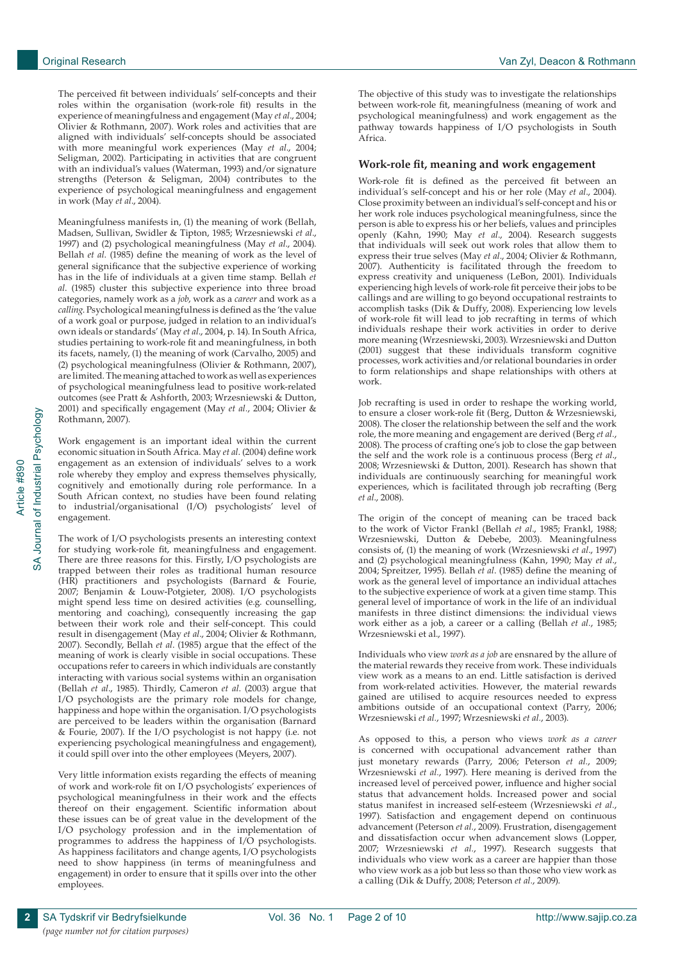The perceived fit between individuals' self-concepts and their roles within the organisation (work-role fit) results in the experience of meaningfulness and engagement (May *et al*., 2004; Olivier & Rothmann, 2007). Work roles and activities that are aligned with individuals' self-concepts should be associated with more meaningful work experiences (May *et al*., 2004; Seligman, 2002). Participating in activities that are congruent with an individual's values (Waterman, 1993) and/or signature strengths (Peterson & Seligman, 2004) contributes to the experience of psychological meaningfulness and engagement in work (May *et al*., 2004).

Meaningfulness manifests in, (1) the meaning of work (Bellah, Madsen, Sullivan, Swidler & Tipton, 1985; Wrzesniewski *et al*., 1997) and (2) psychological meaningfulness (May *et al*., 2004). Bellah *et al*. (1985) define the meaning of work as the level of general significance that the subjective experience of working has in the life of individuals at a given time stamp. Bellah *et al*. (1985) cluster this subjective experience into three broad categories, namely work as a *job*, work as a *career* and work as a *calling*. Psychological meaningfulness is defined as the 'the value of a work goal or purpose, judged in relation to an individual's own ideals or standards' (May *et al*., 2004, p. 14). In South Africa, studies pertaining to work-role fit and meaningfulness, in both its facets, namely, (1) the meaning of work (Carvalho, 2005) and (2) psychological meaningfulness (Olivier & Rothmann, 2007), are limited. The meaning attached to work as well as experiences of psychological meaningfulness lead to positive work-related outcomes (see Pratt & Ashforth, 2003; Wrzesniewski & Dutton, 2001) and specifically engagement (May *et al.*, 2004; Olivier & Rothmann, 2007).

Work engagement is an important ideal within the current economic situation in South Africa. May *et al*. (2004) define work engagement as an extension of individuals' selves to a work role whereby they employ and express themselves physically, cognitively and emotionally during role performance. In a South African context, no studies have been found relating to industrial/organisational (I/O) psychologists' level of engagement.

The work of I/O psychologists presents an interesting context for studying work-role fit, meaningfulness and engagement. There are three reasons for this. Firstly, I/O psychologists are trapped between their roles as traditional human resource (HR) practitioners and psychologists (Barnard & Fourie, 2007; Benjamin & Louw-Potgieter, 2008). I/O psychologists might spend less time on desired activities (e.g. counselling, mentoring and coaching), consequently increasing the gap between their work role and their self-concept. This could result in disengagement (May *et al*., 2004; Olivier & Rothmann, 2007). Secondly, Bellah *et al*. (1985) argue that the effect of the meaning of work is clearly visible in social occupations. These occupations refer to careers in which individuals are constantly interacting with various social systems within an organisation (Bellah *et al*., 1985). Thirdly, Cameron *et al*. (2003) argue that I/O psychologists are the primary role models for change, happiness and hope within the organisation. I/O psychologists are perceived to be leaders within the organisation (Barnard & Fourie, 2007). If the I/O psychologist is not happy (i.e. not experiencing psychological meaningfulness and engagement), it could spill over into the other employees (Meyers, 2007).

Very little information exists regarding the effects of meaning of work and work-role fit on I/O psychologists' experiences of psychological meaningfulness in their work and the effects thereof on their engagement. Scientific information about these issues can be of great value in the development of the I/O psychology profession and in the implementation of programmes to address the happiness of I/O psychologists. As happiness facilitators and change agents, I/O psychologists need to show happiness (in terms of meaningfulness and engagement) in order to ensure that it spills over into the other employees.

The objective of this study was to investigate the relationships between work-role fit, meaningfulness (meaning of work and psychological meaningfulness) and work engagement as the pathway towards happiness of I/O psychologists in South Africa.

## **Work-role fit, meaning and work engagement**

Work-role fit is defined as the perceived fit between an individual*'*s self-concept and his or her role (May *et al*., 2004). Close proximity between an individual's self-concept and his or her work role induces psychological meaningfulness, since the person is able to express his or her beliefs, values and principles openly (Kahn, 1990; May *et al*., 2004). Research suggests that individuals will seek out work roles that allow them to express their true selves (May *et al*., 2004; Olivier & Rothmann, 2007). Authenticity is facilitated through the freedom to express creativity and uniqueness (LeBon, 2001). Individuals experiencing high levels of work-role fit perceive their jobs to be callings and are willing to go beyond occupational restraints to accomplish tasks (Dik & Duffy, 2008). Experiencing low levels of work-role fit will lead to job recrafting in terms of which individuals reshape their work activities in order to derive more meaning (Wrzesniewski, 2003). Wrzesniewski and Dutton (2001) suggest that these individuals transform cognitive processes, work activities and/or relational boundaries in order to form relationships and shape relationships with others at work.

Job recrafting is used in order to reshape the working world, to ensure a closer work-role fit (Berg, Dutton & Wrzesniewski, 2008). The closer the relationship between the self and the work role, the more meaning and engagement are derived (Berg *et al.*, 2008). The process of crafting one's job to close the gap between the self and the work role is a continuous process (Berg *et al*., 2008; Wrzesniewski & Dutton, 2001). Research has shown that individuals are continuously searching for meaningful work experiences, which is facilitated through job recrafting (Berg *et al*., 2008).

The origin of the concept of meaning can be traced back to the work of Victor Frankl (Bellah *et al*., 1985; Frankl, 1988; Wrzesniewski, Dutton & Debebe, 2003). Meaningfulness consists of, (1) the meaning of work (Wrzesniewski *et al*., 1997) and (2) psychological meaningfulness (Kahn, 1990; May *et al*., 2004; Spreitzer, 1995). Bellah *et al*. (1985) define the meaning of work as the general level of importance an individual attaches to the subjective experience of work at a given time stamp. This general level of importance of work in the life of an individual manifests in three distinct dimensions: the individual views work either as a job, a career or a calling (Bellah *et al.*, 1985; Wrzesniewski et al., 1997).

Individuals who view *work as a job* are ensnared by the allure of the material rewards they receive from work. These individuals view work as a means to an end. Little satisfaction is derived from work-related activities. However, the material rewards gained are utilised to acquire resources needed to express ambitions outside of an occupational context (Parry, 2006; Wrzesniewski *et al.*, 1997; Wrzesniewski *et al.*, 2003).

As opposed to this, a person who views *work as a career* is concerned with occupational advancement rather than just monetary rewards (Parry, 2006; Peterson *et al.*, 2009; Wrzesniewski *et al.*, 1997). Here meaning is derived from the increased level of perceived power, influence and higher social status that advancement holds. Increased power and social status manifest in increased self-esteem (Wrzesniewski *et al.*, 1997). Satisfaction and engagement depend on continuous advancement (Peterson *et al.*, 2009). Frustration, disengagement and dissatisfaction occur when advancement slows (Lopper, 2007; Wrzesniewski *et al.*, 1997). Research suggests that individuals who view work as a career are happier than those who view work as a job but less so than those who view work as a calling (Dik & Duffy, 2008; Peterson *et al.*, 2009).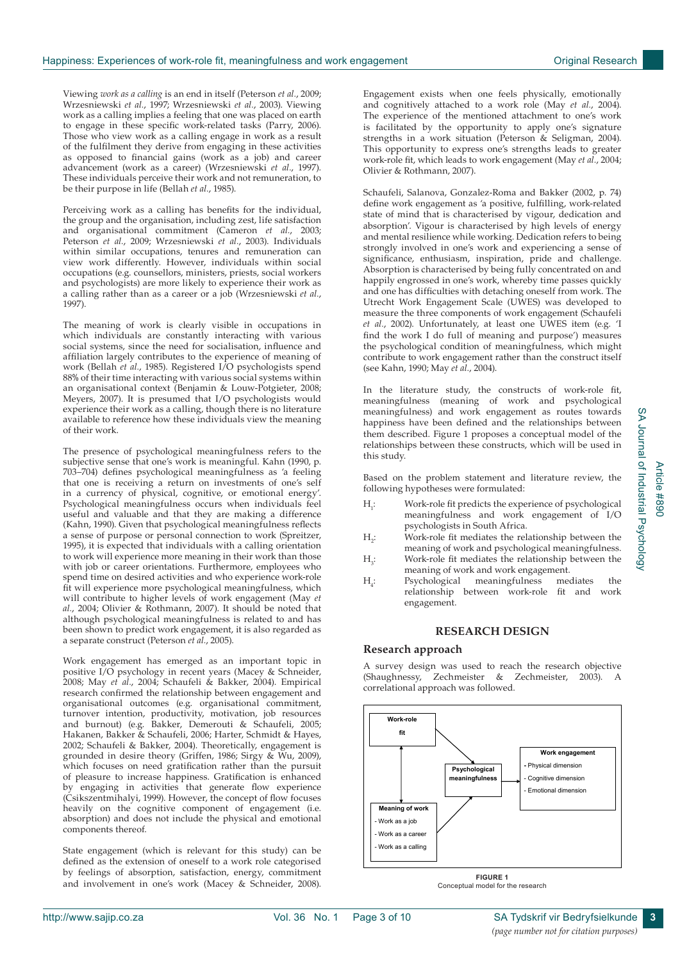Viewing *work as a calling* is an end in itself (Peterson *et al.*, 2009; Wrzesniewski *et al.*, 1997; Wrzesniewski *et al.*, 2003). Viewing work as a calling implies a feeling that one was placed on earth to engage in these specific work-related tasks (Parry, 2006). Those who view work as a calling engage in work as a result of the fulfilment they derive from engaging in these activities as opposed to financial gains (work as a job) and career advancement (work as a career) (Wrzesniewski *et al.*, 1997). These individuals perceive their work and not remuneration, to be their purpose in life (Bellah *et al.*, 1985).

Perceiving work as a calling has benefits for the individual, the group and the organisation, including zest, life satisfaction and organisational commitment (Cameron *et al.*, 2003; Peterson *et al.*, 2009; Wrzesniewski *et al.*, 2003). Individuals within similar occupations, tenures and remuneration can view work differently. However, individuals within social occupations (e.g. counsellors, ministers, priests, social workers and psychologists) are more likely to experience their work as a calling rather than as a career or a job (Wrzesniewski *et al.*, 1997).

The meaning of work is clearly visible in occupations in which individuals are constantly interacting with various social systems, since the need for socialisation, influence and affiliation largely contributes to the experience of meaning of work (Bellah *et al.*, 1985). Registered I/O psychologists spend 88% of their time interacting with various social systems within an organisational context (Benjamin & Louw-Potgieter, 2008; Meyers, 2007). It is presumed that I/O psychologists would experience their work as a calling, though there is no literature available to reference how these individuals view the meaning of their work.

http://www.sajip.co.za Capyloodyical meaning where the meaning of the system and mean of the proposes is one-plane of the proposes in one-of the proposes is one-of the proposes in the control of the proposes is one-of th The presence of psychological meaningfulness refers to the subjective sense that one's work is meaningful. Kahn (1990, p. 703–704) defines psychological meaningfulness as 'a feeling that one is receiving a return on investments of one's self in a currency of physical, cognitive, or emotional energy'. Psychological meaningfulness occurs when individuals feel useful and valuable and that they are making a difference (Kahn, 1990). Given that psychological meaningfulness reflects a sense of purpose or personal connection to work (Spreitzer, 1995), it is expected that individuals with a calling orientation to work will experience more meaning in their work than those with job or career orientations. Furthermore, employees who spend time on desired activities and who experience work-role fit will experience more psychological meaningfulness, which will contribute to higher levels of work engagement (May *et al.*, 2004; Olivier & Rothmann, 2007). It should be noted that although psychological meaningfulness is related to and has been shown to predict work engagement, it is also regarded as a separate construct (Peterson *et al.*, 2005).

Work engagement has emerged as an important topic in positive I/O psychology in recent years (Macey & Schneider, 2008; May *et al.*, 2004; Schaufeli & Bakker, 2004). Empirical research confirmed the relationship between engagement and organisational outcomes (e.g. organisational commitment, turnover intention, productivity, motivation, job resources and burnout) (e.g. Bakker, Demerouti & Schaufeli, 2005; Hakanen, Bakker & Schaufeli, 2006; Harter, Schmidt & Hayes, 2002; Schaufeli & Bakker, 2004). Theoretically, engagement is grounded in desire theory (Griffen, 1986; Sirgy & Wu, 2009), which focuses on need gratification rather than the pursuit of pleasure to increase happiness. Gratification is enhanced by engaging in activities that generate flow experience (Csikszentmihalyi, 1999). However, the concept of flow focuses heavily on the cognitive component of engagement (i.e. absorption) and does not include the physical and emotional components thereof.

State engagement (which is relevant for this study) can be defined as the extension of oneself to a work role categorised by feelings of absorption, satisfaction, energy, commitment and involvement in one's work (Macey & Schneider, 2008).

Engagement exists when one feels physically, emotionally and cognitively attached to a work role (May *et al.*, 2004). The experience of the mentioned attachment to one's work is facilitated by the opportunity to apply one's signature strengths in a work situation (Peterson & Seligman, 2004). This opportunity to express one's strengths leads to greater work-role fit, which leads to work engagement (May *et al.*, 2004; Olivier & Rothmann, 2007).

Schaufeli, Salanova, Gonzalez-Roma and Bakker (2002, p. 74) define work engagement as 'a positive, fulfilling, work-related state of mind that is characterised by vigour, dedication and absorption'. Vigour is characterised by high levels of energy and mental resilience while working. Dedication refers to being strongly involved in one's work and experiencing a sense of significance, enthusiasm, inspiration, pride and challenge. Absorption is characterised by being fully concentrated on and happily engrossed in one's work, whereby time passes quickly and one has difficulties with detaching oneself from work. The Utrecht Work Engagement Scale (UWES) was developed to measure the three components of work engagement (Schaufeli *et al.*, 2002). Unfortunately, at least one UWES item (e.g. 'I find the work I do full of meaning and purpose') measures the psychological condition of meaningfulness, which might contribute to work engagement rather than the construct itself (see Kahn, 1990; May *et al.*, 2004).

In the literature study, the constructs of work-role fit, meaningfulness (meaning of work and psychological meaningfulness) and work engagement as routes towards happiness have been defined and the relationships between them described. Figure 1 proposes a conceptual model of the relationships between these constructs, which will be used in this study.

Based on the problem statement and literature review, the following hypotheses were formulated:

- $H_i$ : : Work-role fit predicts the experience of psychological meaningfulness and work engagement of I/O psychologists in South Africa.
- $H<sub>2</sub>$ : : Work-role fit mediates the relationship between the meaning of work and psychological meaningfulness.
- $H:$ : Work-role fit mediates the relationship between the meaning of work and work engagement.
- $H_i$ : Psychological meaningfulness mediates the relationship between work-role fit and work engagement.

## **RESEARCH DESIGN**

#### **Research approach**

A survey design was used to reach the research objective (Shaughnessy, Zechmeister & Zechmeister, 2003). A correlational approach was followed.



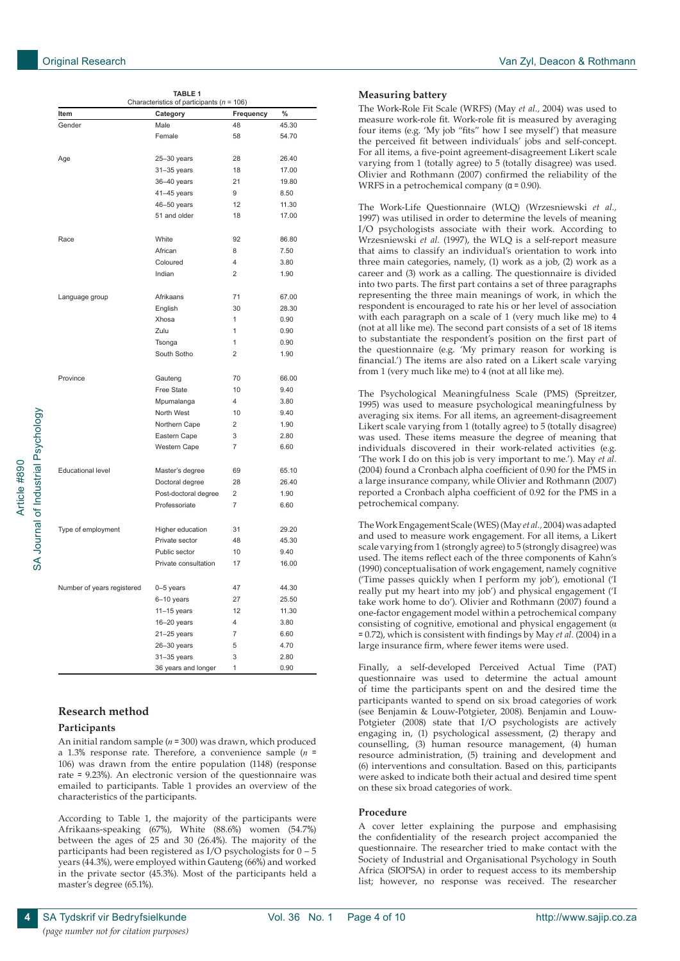|                            | Characteristics of participants ( $n = 106$ ) |                |       |
|----------------------------|-----------------------------------------------|----------------|-------|
| Item                       | Category                                      | Frequency      | $\%$  |
| Gender                     | Male                                          | 48             | 45.30 |
|                            | Female                                        | 58             | 54.70 |
|                            |                                               |                |       |
| Age                        | $25 - 30$ years                               | 28             | 26.40 |
|                            | 31-35 years                                   | 18             | 17.00 |
|                            | 36-40 years                                   | 21             | 19.80 |
|                            | 41-45 years                                   | 9              | 8.50  |
|                            | 46-50 years                                   | 12             | 11.30 |
|                            | 51 and older                                  | 18             | 17.00 |
| Race                       | White                                         | 92             | 86.80 |
|                            | African                                       | 8              | 7.50  |
|                            | Coloured                                      | $\overline{4}$ | 3.80  |
|                            | Indian                                        |                |       |
|                            |                                               | $\overline{2}$ | 1.90  |
| Language group             | Afrikaans                                     | 71             | 67.00 |
|                            | English                                       | 30             | 28.30 |
|                            | Xhosa                                         | 1              | 0.90  |
|                            | Zulu                                          | 1              | 0.90  |
|                            | Tsonga                                        | 1              | 0.90  |
|                            | South Sotho                                   | $\overline{2}$ | 1.90  |
|                            |                                               |                |       |
| Province                   | Gauteng                                       | 70             | 66.00 |
|                            | Free State                                    | 10             | 9.40  |
|                            | Mpumalanga                                    | $\overline{4}$ | 3.80  |
|                            | North West                                    | 10             | 9.40  |
|                            | Northern Cape                                 | 2              | 1.90  |
|                            | Eastern Cape                                  | 3              | 2.80  |
|                            | Western Cape                                  | 7              | 6.60  |
|                            |                                               |                |       |
| <b>Educational level</b>   | Master's degree                               | 69             | 65.10 |
|                            | Doctoral degree                               | 28             | 26.40 |
|                            | Post-doctoral degree                          | 2              | 1.90  |
|                            | Professoriate                                 | $\overline{7}$ | 6.60  |
| Type of employment         | Higher education                              | 31             | 29.20 |
|                            | Private sector                                | 48             | 45.30 |
|                            | Public sector                                 | 10             | 9.40  |
|                            | Private consultation                          | 17             | 16.00 |
|                            |                                               |                |       |
| Number of years registered | 0-5 years                                     | 47             | 44.30 |
|                            | 6-10 years                                    | 27             | 25.50 |
|                            | $11 - 15$ years                               | 12             | 11.30 |
|                            | $16 - 20$ years                               | 4              | 3.80  |
|                            | 21-25 years                                   | 7              | 6.60  |
|                            | $26 - 30$ years                               | 5              | 4.70  |
|                            | 31-35 years                                   | 3              | 2.80  |
|                            | 36 years and longer                           | 1              | 0.90  |

**TABLE 1**

### **Research method**

#### **Participants**

An initial random sample (*n* = 300) was drawn, which produced a 1.3% response rate. Therefore, a convenience sample (*n* = 106) was drawn from the entire population (1148) (response rate = 9.23%). An electronic version of the questionnaire was emailed to participants. Table 1 provides an overview of the characteristics of the participants.

According to Table 1, the majority of the participants were Afrikaans-speaking (67%), White (88.6%) women (54.7%) between the ages of 25 and 30 (26.4%). The majority of the participants had been registered as I/O psychologists for  $0 - 5$ years (44.3%), were employed within Gauteng (66%) and worked in the private sector (45.3%). Most of the participants held a master's degree (65.1%).

#### **Measuring battery**

The Work-Role Fit Scale (WRFS) (May *et al.,* 2004) was used to measure work-role fit. Work-role fit is measured by averaging four items (e.g. 'My job "fits" how I see myself') that measure the perceived fit between individuals' jobs and self-concept. For all items, a five-point agreement-disagreement Likert scale varying from 1 (totally agree) to 5 (totally disagree) was used. Olivier and Rothmann (2007) confirmed the reliability of the WRFS in a petrochemical company  $(\alpha = 0.90)$ .

The Work-Life Questionnaire (WLQ) (Wrzesniewski *et al.,* 1997) was utilised in order to determine the levels of meaning I/O psychologists associate with their work. According to Wrzesniewski *et al.* (1997), the WLQ is a self-report measure that aims to classify an individual's orientation to work into three main categories, namely, (1) work as a job, (2) work as a career and (3) work as a calling. The questionnaire is divided into two parts. The first part contains a set of three paragraphs representing the three main meanings of work, in which the respondent is encouraged to rate his or her level of association with each paragraph on a scale of 1 (very much like me) to 4 (not at all like me). The second part consists of a set of 18 items to substantiate the respondent's position on the first part of the questionnaire (e.g. 'My primary reason for working is financial.') The items are also rated on a Likert scale varying from 1 (very much like me) to 4 (not at all like me).

The Psychological Meaningfulness Scale (PMS) (Spreitzer, 1995) was used to measure psychological meaningfulness by averaging six items. For all items, an agreement-disagreement Likert scale varying from 1 (totally agree) to 5 (totally disagree) was used. These items measure the degree of meaning that individuals discovered in their work-related activities (e.g. 'The work I do on this job is very important to me.'). May *et al.* (2004) found a Cronbach alpha coefficient of 0.90 for the PMS in a large insurance company, while Olivier and Rothmann (2007) reported a Cronbach alpha coefficient of 0.92 for the PMS in a petrochemical company.

The Work Engagement Scale (WES) (May *et al.,* 2004) was adapted and used to measure work engagement. For all items, a Likert scale varying from 1 (strongly agree) to 5 (strongly disagree) was used. The items reflect each of the three components of Kahn's (1990) conceptualisation of work engagement, namely cognitive ('Time passes quickly when I perform my job'), emotional ('I really put my heart into my job') and physical engagement ('I take work home to do'). Olivier and Rothmann (2007) found a one-factor engagement model within a petrochemical company consisting of cognitive, emotional and physical engagement (α = 0.72), which is consistent with findings by May *et al.* (2004) in a large insurance firm, where fewer items were used.

Finally, a self-developed Perceived Actual Time (PAT) questionnaire was used to determine the actual amount of time the participants spent on and the desired time the participants wanted to spend on six broad categories of work (see Benjamin & Louw-Potgieter, 2008). Benjamin and Louw-Potgieter (2008) state that I/O psychologists are actively engaging in, (1) psychological assessment, (2) therapy and counselling, (3) human resource management, (4) human resource administration, (5) training and development and (6) interventions and consultation. Based on this, participants were asked to indicate both their actual and desired time spent on these six broad categories of work.

#### **Procedure**

A cover letter explaining the purpose and emphasising the confidentiality of the research project accompanied the questionnaire. The researcher tried to make contact with the Society of Industrial and Organisational Psychology in South Africa (SIOPSA) in order to request access to its membership list; however, no response was received. The researcher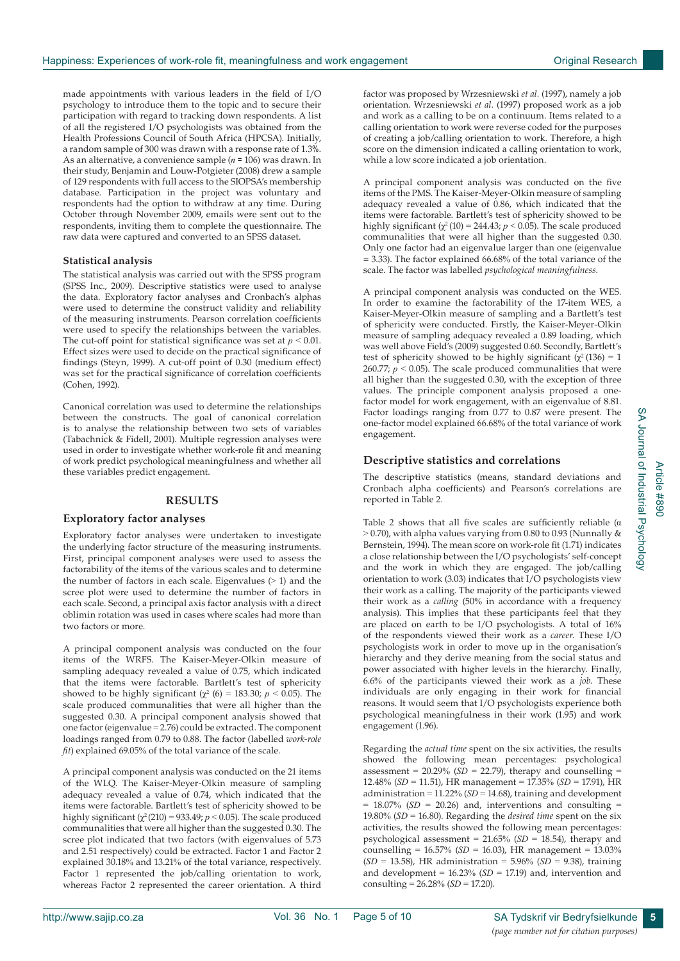made appointments with various leaders in the field of I/O psychology to introduce them to the topic and to secure their participation with regard to tracking down respondents. A list of all the registered I/O psychologists was obtained from the Health Professions Council of South Africa (HPCSA). Initially, a random sample of 300 was drawn with a response rate of 1.3%. As an alternative, a convenience sample (*n* = 106) was drawn. In their study, Benjamin and Louw-Potgieter (2008) drew a sample of 129 respondents with full access to the SIOPSA's membership database. Participation in the project was voluntary and respondents had the option to withdraw at any time. During October through November 2009, emails were sent out to the respondents, inviting them to complete the questionnaire. The raw data were captured and converted to an SPSS dataset.

#### **Statistical analysis**

The statistical analysis was carried out with the SPSS program (SPSS Inc., 2009). Descriptive statistics were used to analyse the data. Exploratory factor analyses and Cronbach's alphas were used to determine the construct validity and reliability of the measuring instruments. Pearson correlation coefficients were used to specify the relationships between the variables. The cut-off point for statistical significance was set at  $p < 0.01$ . Effect sizes were used to decide on the practical significance of findings (Steyn, 1999). A cut-off point of 0.30 (medium effect) was set for the practical significance of correlation coefficients (Cohen, 1992).

Canonical correlation was used to determine the relationships between the constructs. The goal of canonical correlation is to analyse the relationship between two sets of variables (Tabachnick & Fidell, 2001). Multiple regression analyses were used in order to investigate whether work-role fit and meaning of work predict psychological meaningfulness and whether all these variables predict engagement.

## **RESULTS**

#### **Exploratory factor analyses**

Exploratory factor analyses were undertaken to investigate the underlying factor structure of the measuring instruments. First, principal component analyses were used to assess the factorability of the items of the various scales and to determine the number of factors in each scale. Eigenvalues  $(> 1)$  and the scree plot were used to determine the number of factors in each scale. Second, a principal axis factor analysis with a direct oblimin rotation was used in cases where scales had more than two factors or more.

A principal component analysis was conducted on the four items of the WRFS. The Kaiser-Meyer-Olkin measure of sampling adequacy revealed a value of 0.75, which indicated that the items were factorable. Bartlett's test of sphericity showed to be highly significant ( $\chi^2$  (6) = 183.30; *p* < 0.05). The scale produced communalities that were all higher than the suggested 0.30. A principal component analysis showed that one factor (eigenvalue = 2.76) could be extracted. The component loadings ranged from 0.79 to 0.88. The factor (labelled *work-role fit*) explained 69.05% of the total variance of the scale.

A principal component analysis was conducted on the 21 items of the WLQ. The Kaiser-Meyer-Olkin measure of sampling adequacy revealed a value of 0.74, which indicated that the items were factorable. Bartlett's test of sphericity showed to be highly significant ( $\chi^2$  (210) = 933.49; *p* < 0.05). The scale produced communalities that were all higher than the suggested 0.30. The scree plot indicated that two factors (with eigenvalues of 5.73 and 2.51 respectively) could be extracted. Factor 1 and Factor 2 explained 30.18% and 13.21% of the total variance, respectively. Factor 1 represented the job/calling orientation to work, whereas Factor 2 represented the career orientation. A third

factor was proposed by Wrzesniewski *et al.* (1997), namely a job orientation. Wrzesniewski *et al.* (1997) proposed work as a job and work as a calling to be on a continuum. Items related to a calling orientation to work were reverse coded for the purposes of creating a job/calling orientation to work. Therefore, a high score on the dimension indicated a calling orientation to work, while a low score indicated a job orientation.

A principal component analysis was conducted on the five items of the PMS. The Kaiser-Meyer-Olkin measure of sampling adequacy revealed a value of 0.86, which indicated that the items were factorable. Bartlett's test of sphericity showed to be highly significant ( $\chi^2$ (10) = 244.43; *p* < 0.05). The scale produced communalities that were all higher than the suggested 0.30. Only one factor had an eigenvalue larger than one (eigenvalue  $= 3.33$ ). The factor explained 66.68% of the total variance of the scale. The factor was labelled *psychological meaningfulness*.

A principal component analysis was conducted on the WES. In order to examine the factorability of the 17-item WES, a Kaiser-Meyer-Olkin measure of sampling and a Bartlett's test of sphericity were conducted. Firstly, the Kaiser-Meyer-Olkin measure of sampling adequacy revealed a 0.89 loading, which was well above Field's (2009) suggested 0.60. Secondly, Bartlett's test of sphericity showed to be highly significant ( $\chi^2$  (136) = 1 260.77;  $p < 0.05$ ). The scale produced communalities that were all higher than the suggested 0.30, with the exception of three values. The principle component analysis proposed a onefactor model for work engagement, with an eigenvalue of 8.81. Factor loadings ranging from 0.77 to 0.87 were present. The one-factor model explained 66.68% of the total variance of work engagement.

## **Descriptive statistics and correlations**

The descriptive statistics (means, standard deviations and Cronbach alpha coefficients) and Pearson's correlations are reported in Table 2.

between the constraints. The controlline in the controlline in the controlline in the controlline in the controlline in the controlline in the controlline in the controlline in the controlline in the controlline in the co Table 2 shows that all five scales are sufficiently reliable ( $\alpha$  $> 0.70$ ), with alpha values varying from 0.80 to 0.93 (Nunnally & Bernstein, 1994). The mean score on work-role fit (1.71) indicates a close relationship between the I/O psychologists' self-concept and the work in which they are engaged. The job/calling orientation to work (3.03) indicates that I/O psychologists view their work as a calling. The majority of the participants viewed their work as a *calling* (50% in accordance with a frequency analysis). This implies that these participants feel that they are placed on earth to be I/O psychologists. A total of 16% of the respondents viewed their work as a *career*. These I/O psychologists work in order to move up in the organisation's hierarchy and they derive meaning from the social status and power associated with higher levels in the hierarchy. Finally, 6.6% of the participants viewed their work as a *job*. These individuals are only engaging in their work for financial reasons. It would seem that I/O psychologists experience both psychological meaningfulness in their work (1.95) and work engagement (1.96).

Regarding the *actual time* spent on the six activities, the results showed the following mean percentages: psychological assessment =  $20.29\%$  (*SD* = 22.79), therapy and counselling = 12.48% (*SD* = 11.51), HR management = 17.35% (*SD* = 17.91), HR administration =  $11.22\%$  (*SD* =  $14.68$ ), training and development  $= 18.07\%$  (*SD* = 20.26) and, interventions and consulting = 19.80% (*SD* = 16.80). Regarding the *desired time* spent on the six activities, the results showed the following mean percentages: psychological assessment = 21.65% (*SD* = 18.54), therapy and counselling =  $16.57\%$  (*SD* = 16.03), HR management =  $13.03\%$ (*SD* = 13.58), HR administration = 5.96% (*SD* = 9.38), training and development = 16.23% (*SD* = 17.19) and, intervention and consulting = 26.28% (*SD* = 17.20).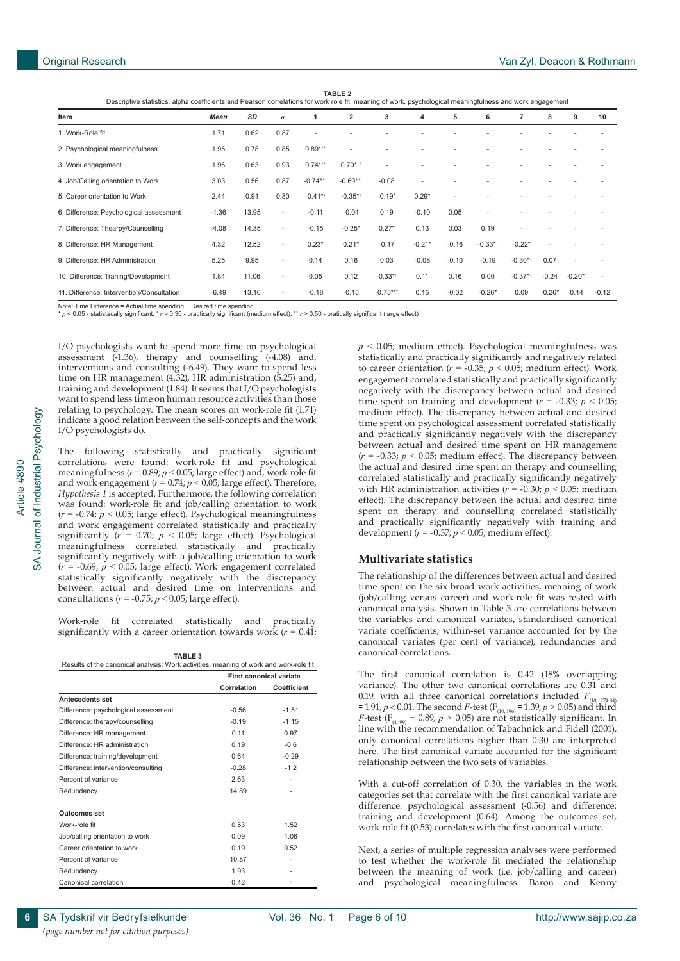**TABLE 2** Descriptive statistics, alpha coefficients and Pearson correlations for work role fit, meaning of work, psychological meaningfulness and work engagement

| Item                                      | Mean    | SD    | $\boldsymbol{a}$ | 1                        | $\overline{2}$ | 3          | 4        | 5       | 6         | $\overline{7}$ | 8        | 9        | 10      |
|-------------------------------------------|---------|-------|------------------|--------------------------|----------------|------------|----------|---------|-----------|----------------|----------|----------|---------|
| 1. Work-Role fit                          | 1.71    | 0.62  | 0.87             | $\overline{\phantom{a}}$ |                |            |          |         |           |                |          |          |         |
| 2. Psychological meaningfulness           | 1.95    | 0.78  | 0.85             | $0.89***$                |                |            |          |         |           |                |          |          |         |
| 3. Work engagement                        | 1.96    | 0.63  | 0.93             | $0.74***$                | $0.70***$      |            |          |         |           |                |          |          |         |
| 4. Job/Calling orientation to Work        | 3.03    | 0.56  | 0.87             | $-0.74***$               | $-0.69***$     | $-0.08$    |          |         |           |                |          |          |         |
| 5. Career orientation to Work             | 2.44    | 0.91  | 0.80             | $-0.41**$                | $-0.35**$      | $-0.19*$   | $0.29*$  |         |           |                |          |          |         |
| 6. Difference: Psychological assessment   | $-1.36$ | 13.95 | ٠                | $-0.11$                  | $-0.04$        | 0.19       | $-0.10$  | 0.05    |           |                |          |          |         |
| 7. Difference: Thearpy/Counselling        | $-4.08$ | 14.35 | $\sim$           | $-0.15$                  | $-0.25*$       | $0.27*$    | 0.13     | 0.03    | 0.19      |                |          |          |         |
| 8. Difference: HR Management              | 4.32    | 12.52 | ٠                | $0.23*$                  | $0.21*$        | $-0.17$    | $-0.21*$ | $-0.16$ | $-0.33**$ | $-0.22*$       |          |          |         |
| 9. Difference: HR Administration          | 5.25    | 9.95  | $\sim$           | 0.14                     | 0.16           | 0.03       | $-0.08$  | $-0.10$ | $-0.19$   | $-0.30**$      | 0.07     |          |         |
| 10. Difference: Traning/Development       | 1.84    | 11.06 | $\sim$           | 0.05                     | 0.12           | $-0.33**$  | 0.11     | 0.16    | 0.00      | $-0.37**$      | $-0.24$  | $-0.20*$ |         |
| 11. Difference: Intervention/Consultation | $-6.49$ | 13.16 | ٠                | $-0.18$                  | $-0.15$        | $-0.75***$ | 0.15     | $-0.02$ | $-0.26*$  | 0.09           | $-0.26*$ | $-0.14$  | $-0.12$ |

Note: Time Difference = Actual time spending − Desired time spending<br>\* p < 0.05 - statistacally significant; \* r > 0.30 - practically significant (medium effect); \*\* r > 0.50 - pratically significant (large effect)

I/O psychologists want to spend more time on psychological assessment (-1.36), therapy and counselling (-4.08) and, interventions and consulting (-6.49). They want to spend less time on HR management (4.32), HR administration (5.25) and, training and development (1.84). It seems that I/O psychologists want to spend less time on human resource activities than those relating to psychology. The mean scores on work-role fit (1.71) indicate a good relation between the self-concepts and the work I/O psychologists do.

The following statistically and practically significant correlations were found: work-role fit and psychological meaningfulness (*r* = 0.89; *p* < 0.05; large effect) and, work-role fit and work engagement  $(r = 0.74; p < 0.05;$  large effect). Therefore, *Hypothesis 1* is accepted. Furthermore, the following correlation was found: work-role fit and job/calling orientation to work (*r* = -0.74; *p* < 0.05; large effect). Psychological meaningfulness and work engagement correlated statistically and practically significantly  $r = 0.70$ ;  $p < 0.05$ ; large effect). Psychological meaningfulness correlated statistically and practically significantly negatively with a job/calling orientation to work  $(r = -0.69; p < 0.05;$  large effect). Work engagement correlated statistically significantly negatively with the discrepancy between actual and desired time on interventions and consultations ( $r = -0.75$ ;  $p < 0.05$ ; large effect).

Work-role fit correlated statistically and practically significantly with a career orientation towards work  $(r = 0.41;$ 

| ш<br>ш<br>٠<br>× |
|------------------|
|------------------|

| Results of the canonical analysis: Work activities, meaning of work and work-role fit |             |                                |
|---------------------------------------------------------------------------------------|-------------|--------------------------------|
|                                                                                       |             | <b>First canonical variate</b> |
|                                                                                       | Correlation | Coefficient                    |
| <b>Antecedents set</b>                                                                |             |                                |
| Difference: psychological assessment                                                  | $-0.56$     | $-1.51$                        |
| Difference: therapy/counselling                                                       | $-0.19$     | $-1.15$                        |
| Difference: HR management                                                             | 0.11        | 0.97                           |
| Difference: HR administration                                                         | 0.19        | $-0.6$                         |
| Difference: training/development                                                      | 0.64        | $-0.29$                        |
| Difference: intervention/consulting                                                   | $-0.28$     | $-1.2$                         |
| Percent of variance                                                                   | 2.63        | ٠                              |
| Redundancy                                                                            | 14.89       |                                |
| <b>Outcomes set</b>                                                                   |             |                                |
| Work-role fit                                                                         | 0.53        | 1.52                           |
| Job/calling orientation to work                                                       | 0.09        | 1.06                           |
| Career orientation to work                                                            | 0.19        | 0.52                           |
| Percent of variance                                                                   | 10.87       | ٠                              |
| Redundancy                                                                            | 1.93        |                                |
| Canonical correlation                                                                 | 0.42        |                                |

*p* < 0.05; medium effect). Psychological meaningfulness was statistically and practically significantly and negatively related to career orientation ( $r = -0.35$ ;  $p < 0.05$ ; medium effect). Work engagement correlated statistically and practically significantly negatively with the discrepancy between actual and desired time spent on training and development  $(r = -0.33; p < 0.05;$ medium effect). The discrepancy between actual and desired time spent on psychological assessment correlated statistically and practically significantly negatively with the discrepancy between actual and desired time spent on HR management  $(r = -0.33; p < 0.05;$  medium effect). The discrepancy between the actual and desired time spent on therapy and counselling correlated statistically and practically significantly negatively with HR administration activities ( $r = -0.30$ ;  $p < 0.05$ ; medium effect). The discrepancy between the actual and desired time spent on therapy and counselling correlated statistically and practically significantly negatively with training and development ( $r = -0.37$ ;  $p < 0.05$ ; medium effect).

#### **Multivariate statistics**

The relationship of the differences between actual and desired time spent on the six broad work activities, meaning of work (job/calling versus career) and work-role fit was tested with canonical analysis. Shown in Table 3 are correlations between the variables and canonical variates, standardised canonical variate coefficients, within-set variance accounted for by the canonical variates (per cent of variance), redundancies and canonical correlations.

The first canonical correlation is 0.42 (18% overlapping variance). The other two canonical correlations are 0.31 and 0.19, with all three canonical correlations included  $F_{(18, 274, 84)}$ = 1.91, *p* < 0.01. The second *F*-test ( $F_{(10, 196)}$  = 1.39, *p* > 0.05) and third *F*-test ( $F_a$  <sub>99)</sub> = 0.89, *p* > 0.05) are not statistically significant. In line with the recommendation of Tabachnick and Fidell (2001), only canonical correlations higher than 0.30 are interpreted here. The first canonical variate accounted for the significant relationship between the two sets of variables.

With a cut-off correlation of 0.30, the variables in the work categories set that correlate with the first canonical variate are difference: psychological assessment (-0.56) and difference: training and development (0.64). Among the outcomes set, work-role fit (0.53) correlates with the first canonical variate.

Next, a series of multiple regression analyses were performed to test whether the work-role fit mediated the relationship between the meaning of work (i.e. job/calling and career) and psychological meaningfulness. Baron and Kenny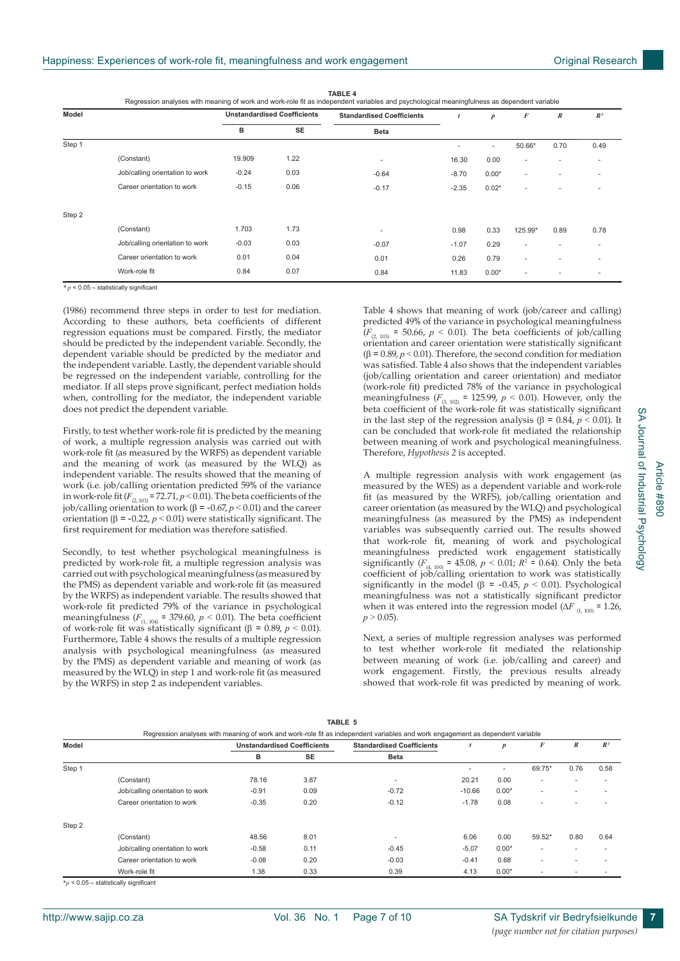| Model  |                                 | <b>Unstandardised Coefficients</b> |      | <b>Standardised Coefficients</b> |                          | $\boldsymbol{p}$ | $\boldsymbol{F}$         | $\boldsymbol{R}$ | $R^2$ |
|--------|---------------------------------|------------------------------------|------|----------------------------------|--------------------------|------------------|--------------------------|------------------|-------|
|        |                                 | в                                  | SE   | Beta                             |                          |                  |                          |                  |       |
| Step 1 |                                 |                                    |      |                                  | $\overline{\phantom{a}}$ | ٠                | 50.66*                   | 0.70             | 0.49  |
|        | (Constant)                      | 19.909                             | 1.22 | $\overline{\phantom{a}}$         | 16.30                    | 0.00             | $\overline{\phantom{a}}$ |                  | ٠     |
|        | Job/calling orientation to work | $-0.24$                            | 0.03 | $-0.64$                          | $-8.70$                  | $0.00*$          | $\overline{\phantom{a}}$ | ۰                | ۰     |
|        | Career orientation to work      | $-0.15$                            | 0.06 | $-0.17$                          | $-2.35$                  | $0.02*$          | ٠                        |                  |       |
| Step 2 |                                 |                                    |      |                                  |                          |                  |                          |                  |       |
|        | (Constant)                      | 1.703                              | 1.73 | $\overline{\phantom{a}}$         | 0.98                     | 0.33             | 125.99*                  | 0.89             | 0.78  |
|        | Job/calling orientation to work | $-0.03$                            | 0.03 | $-0.07$                          | $-1.07$                  | 0.29             | $\overline{\phantom{a}}$ |                  | ۰     |
|        | Career orientation to work      | 0.01                               | 0.04 | 0.01                             | 0.26                     | 0.79             | $\sim$                   |                  |       |
|        | Work-role fit                   | 0.84                               | 0.07 | 0.84                             | 11.83                    | $0.00*$          | ٠                        |                  |       |

**TABLE 4**

Regression analyses with meaning of work and work-role fit as independent variables and psychological meaningfulness as dependent variable

*\* p* < 0.05 – statistically significant

(1986) recommend three steps in order to test for mediation. According to these authors, beta coefficients of different regression equations must be compared. Firstly, the mediator should be predicted by the independent variable. Secondly, the dependent variable should be predicted by the mediator and the independent variable. Lastly, the dependent variable should be regressed on the independent variable, controlling for the mediator. If all steps prove significant, perfect mediation holds when, controlling for the mediator, the independent variable does not predict the dependent variable.

Table 4 shows that meaning of work (job/career and calling) predicted 49% of the variance in psychological meaningfulness  $(F_{(2, 103)} = 50.66, p \le 0.01)$ . The beta coefficients of job/calling orientation and career orientation were statistically significant ( $\beta$  = 0.89,  $p$  < 0.01). Therefore, the second condition for mediation was satisfied. Table 4 also shows that the independent variables (job/calling orientation and career orientation) and mediator (work-role fit) predicted 78% of the variance in psychological meaningfulness  $(F_{(3, 102)} = 125.99, p < 0.01)$ . However, only the beta coefficient of the work-role fit was statistically significant in the last step of the regression analysis  $(6 = 0.84, p \le 0.01)$ . It can be concluded that work-role fit mediated the relationship between meaning of work and psychological meaningfulness. Therefore, *Hypothesis 2* is accepted.

|  | $\sim$ |
|--|--------|
|  |        |

|  | Regression analyses with meaning of work and work-role fit as independent variables and work engagement as dependent variable |
|--|-------------------------------------------------------------------------------------------------------------------------------|
|--|-------------------------------------------------------------------------------------------------------------------------------|

|                           | Firstly, to test whether work-role fit is predicted by the meaning<br>of work, a multiple regression analysis was carried out with                           |                                    |         | in the last step of the regression analysis ( $\beta$ = 0.84, $p$ < 0.01). It                                                 |                          |                          |                          |                          |                |
|---------------------------|--------------------------------------------------------------------------------------------------------------------------------------------------------------|------------------------------------|---------|-------------------------------------------------------------------------------------------------------------------------------|--------------------------|--------------------------|--------------------------|--------------------------|----------------|
|                           |                                                                                                                                                              |                                    |         | can be concluded that work-role fit mediated the relationship                                                                 |                          |                          |                          |                          |                |
|                           |                                                                                                                                                              |                                    |         | between meaning of work and psychological meaningfulness.                                                                     |                          |                          |                          |                          |                |
|                           | work-role fit (as measured by the WRFS) as dependent variable                                                                                                |                                    |         | Therefore, <i>Hypothesis</i> 2 is accepted.                                                                                   |                          |                          |                          |                          |                |
|                           | and the meaning of work (as measured by the WLQ) as                                                                                                          |                                    |         |                                                                                                                               |                          |                          |                          |                          |                |
|                           | independent variable. The results showed that the meaning of                                                                                                 |                                    |         | A multiple regression analysis with work engagement (as                                                                       |                          |                          |                          |                          |                |
|                           | work (i.e. job/calling orientation predicted 59% of the variance                                                                                             |                                    |         | measured by the WES) as a dependent variable and work-role                                                                    |                          |                          |                          |                          |                |
|                           | in work-role fit ( $F_{(2,103)}$ = 72.71, $p$ < 0.01). The beta coefficients of the                                                                          |                                    |         | fit (as measured by the WRFS), job/calling orientation and                                                                    |                          |                          |                          |                          |                |
|                           | job/calling orientation to work (β = -0.67, $p$ < 0.01) and the career<br>orientation (β = -0.22, $p$ < 0.01) were statistically significant. The            |                                    |         | career orientation (as measured by the WLQ) and psychological<br>meaningfulness (as measured by the PMS) as independent       |                          |                          |                          |                          |                |
|                           | first requirement for mediation was therefore satisfied.                                                                                                     |                                    |         | variables was subsequently carried out. The results showed                                                                    |                          |                          |                          |                          |                |
|                           |                                                                                                                                                              |                                    |         | that work-role fit, meaning of work and psychological                                                                         |                          |                          |                          |                          |                |
|                           | Secondly, to test whether psychological meaningfulness is                                                                                                    |                                    |         | meaningfulness predicted work engagement statistically                                                                        |                          |                          |                          |                          |                |
|                           | predicted by work-role fit, a multiple regression analysis was                                                                                               |                                    |         | significantly ( $F_{(4, 100)}$ = 45.08, $p < 0.01$ ; $R^2$ = 0.64). Only the beta                                             |                          |                          |                          |                          |                |
|                           | carried out with psychological meaningfulness (as measured by                                                                                                |                                    |         | coefficient of job/calling orientation to work was statistically                                                              |                          |                          |                          |                          |                |
|                           | the PMS) as dependent variable and work-role fit (as measured                                                                                                |                                    |         | significantly in the model ( $\beta$ = -0.45, $p < 0.01$ ). Psychological                                                     |                          |                          |                          |                          |                |
|                           | by the WRFS) as independent variable. The results showed that                                                                                                |                                    |         | meaningfulness was not a statistically significant predictor                                                                  |                          |                          |                          |                          |                |
|                           | work-role fit predicted 79% of the variance in psychological                                                                                                 |                                    |         | when it was entered into the regression model ( $\Delta F_{(1,100)}$ = 1.26,                                                  |                          |                          |                          |                          |                |
|                           | meaningfulness ( $F_{(1,104)}$ = 379.60, $p < 0.01$ ). The beta coefficient<br>of work-role fit was statistically significant ( $\beta$ = 0.89, $p$ < 0.01). |                                    |         | $p > 0.05$ ).                                                                                                                 |                          |                          |                          |                          |                |
|                           | Furthermore, Table 4 shows the results of a multiple regression                                                                                              |                                    |         | Next, a series of multiple regression analyses was performed                                                                  |                          |                          |                          |                          |                |
|                           | analysis with psychological meaningfulness (as measured                                                                                                      |                                    |         | to test whether work-role fit mediated the relationship                                                                       |                          |                          |                          |                          |                |
|                           | by the PMS) as dependent variable and meaning of work (as                                                                                                    |                                    |         | between meaning of work (i.e. job/calling and career) and                                                                     |                          |                          |                          |                          |                |
|                           | measured by the WLQ) in step 1 and work-role fit (as measured                                                                                                |                                    |         | work engagement. Firstly, the previous results already                                                                        |                          |                          |                          |                          |                |
|                           | by the WRFS) in step 2 as independent variables.                                                                                                             |                                    |         |                                                                                                                               |                          |                          |                          |                          |                |
|                           |                                                                                                                                                              |                                    |         | showed that work-role fit was predicted by meaning of work.                                                                   |                          |                          |                          |                          |                |
|                           |                                                                                                                                                              |                                    |         |                                                                                                                               |                          |                          |                          |                          |                |
|                           |                                                                                                                                                              |                                    |         |                                                                                                                               |                          |                          |                          |                          |                |
|                           |                                                                                                                                                              |                                    | TABLE 5 | Regression analyses with meaning of work and work-role fit as independent variables and work engagement as dependent variable |                          |                          |                          |                          |                |
|                           |                                                                                                                                                              | <b>Unstandardised Coefficients</b> |         | <b>Standardised Coefficients</b>                                                                                              | t                        | $\boldsymbol{p}$         | F                        | $\boldsymbol{R}$         | $I\!\!R^{\,2}$ |
|                           |                                                                                                                                                              | B                                  | SE      | <b>Beta</b>                                                                                                                   |                          |                          |                          |                          |                |
|                           |                                                                                                                                                              |                                    |         |                                                                                                                               | $\overline{\phantom{a}}$ | $\overline{\phantom{a}}$ | 69.75*                   | 0.76                     | 0.58           |
|                           | (Constant)                                                                                                                                                   | 78.16                              | 3.87    |                                                                                                                               | 20.21                    | 0.00                     |                          |                          |                |
|                           | Job/calling orientation to work                                                                                                                              | $-0.91$                            | 0.09    | $-0.72$                                                                                                                       | $-10.66$                 | $0.00*$                  |                          |                          |                |
|                           | Career orientation to work                                                                                                                                   | $-0.35$                            | 0.20    | $-0.12$                                                                                                                       | $-1.78$                  | 0.08                     |                          |                          |                |
|                           |                                                                                                                                                              |                                    |         |                                                                                                                               |                          |                          |                          |                          |                |
|                           | (Constant)                                                                                                                                                   | 48.56                              | 8.01    | $\overline{\phantom{a}}$                                                                                                      | 6.06                     | 0.00                     | 59.52*                   | 0.80                     | 0.64           |
|                           | Job/calling orientation to work                                                                                                                              | $-0.58$                            | 0.11    | $-0.45$                                                                                                                       | $-5.07$                  | $0.00*$                  |                          |                          |                |
|                           | Career orientation to work                                                                                                                                   | $-0.08$                            | 0.20    | $-0.03$                                                                                                                       | $-0.41$                  | 0.68                     |                          |                          |                |
| Model<br>Step 1<br>Step 2 | Work-role fit<br>* $p$ < 0.05 - statistically significant                                                                                                    | 1.38                               | 0.33    | 0.39                                                                                                                          | 4.13                     | $0.00*$                  | $\overline{\phantom{a}}$ | $\overline{\phantom{a}}$ |                |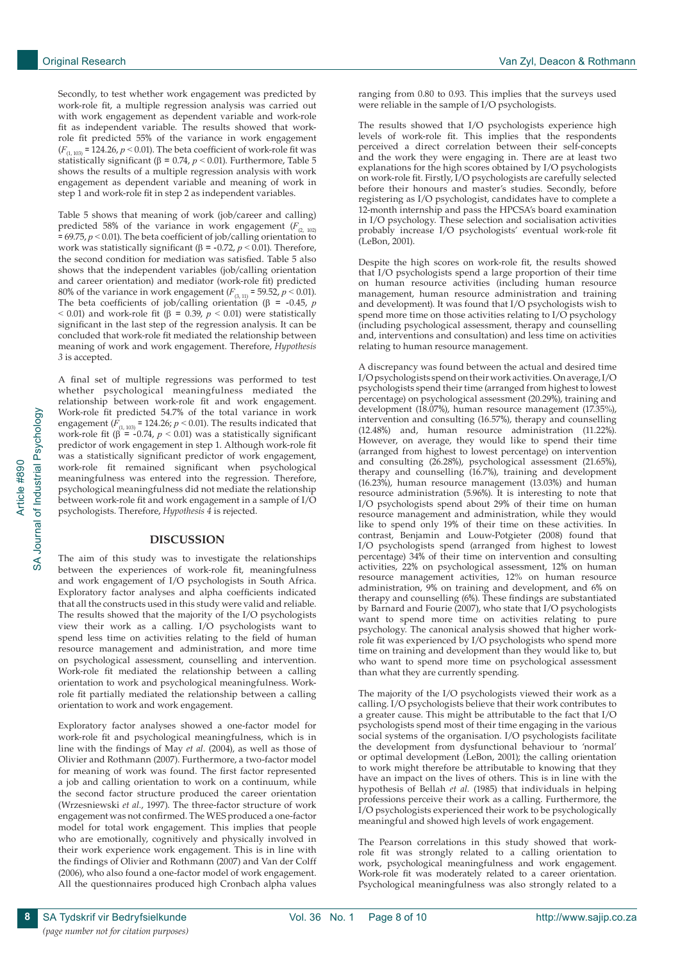Secondly, to test whether work engagement was predicted by work-role fit, a multiple regression analysis was carried out with work engagement as dependent variable and work-role fit as independent variable. The results showed that workrole fit predicted 55% of the variance in work engagement  $(F<sub>(1, 103)</sub> = 124.26, p < 0.01)$ . The beta coefficient of work-role fit was statistically significant ( $\beta$  = 0.74,  $p$  < 0.01). Furthermore, Table 5 shows the results of a multiple regression analysis with work engagement as dependent variable and meaning of work in step 1 and work-role fit in step 2 as independent variables.

Table 5 shows that meaning of work (job/career and calling) predicted 58% of the variance in work engagement ( $F_{(2, 102)}$ )  $= 69.75, p \le 0.01$ ). The beta coefficient of job/calling orientation to work was statistically significant ( $\beta$  = -0.72, *p* < 0.01). Therefore, the second condition for mediation was satisfied. Table 5 also shows that the independent variables (job/calling orientation and career orientation) and mediator (work-role fit) predicted 80% of the variance in work engagement ( $F_{(3, 11)}$  = 59.52, *p* < 0.01). The beta coefficients of job/calling orientation ( $\beta$  = -0.45, *p*  $< 0.01$ ) and work-role fit ( $\beta = 0.39$ ,  $p < 0.01$ ) were statistically significant in the last step of the regression analysis. It can be concluded that work-role fit mediated the relationship between meaning of work and work engagement. Therefore, *Hypothesis 3* is accepted.

A final set of multiple regressions was performed to test whether psychological meaningfulness mediated the relationship between work-role fit and work engagement. Work-role fit predicted 54.7% of the total variance in work engagement ( $F_{(1,103)}$  = 124.26; *p* < 0.01). The results indicated that work-role fit ( $\beta$  = -0.74, *p* < 0.01) was a statistically significant predictor of work engagement in step 1. Although work-role fit was a statistically significant predictor of work engagement, work-role fit remained significant when psychological meaningfulness was entered into the regression. Therefore, psychological meaningfulness did not mediate the relationship between work-role fit and work engagement in a sample of I/O psychologists. Therefore, *Hypothesis 4* is rejected.

#### **DISCUSSION**

The aim of this study was to investigate the relationships between the experiences of work-role fit, meaningfulness and work engagement of I/O psychologists in South Africa. Exploratory factor analyses and alpha coefficients indicated that all the constructs used in this study were valid and reliable. The results showed that the majority of the I/O psychologists view their work as a calling. I/O psychologists want to spend less time on activities relating to the field of human resource management and administration, and more time on psychological assessment, counselling and intervention. Work-role fit mediated the relationship between a calling orientation to work and psychological meaningfulness. Workrole fit partially mediated the relationship between a calling orientation to work and work engagement.

Exploratory factor analyses showed a one-factor model for work-role fit and psychological meaningfulness, which is in line with the findings of May *et al.* (2004), as well as those of Olivier and Rothmann (2007). Furthermore, a two-factor model for meaning of work was found. The first factor represented a job and calling orientation to work on a continuum, while the second factor structure produced the career orientation (Wrzesniewski *et al.*, 1997). The three-factor structure of work engagement was not confirmed. The WES produced a one-factor model for total work engagement. This implies that people who are emotionally, cognitively and physically involved in their work experience work engagement. This is in line with the findings of Olivier and Rothmann (2007) and Van der Colff (2006), who also found a one-factor model of work engagement. All the questionnaires produced high Cronbach alpha values

ranging from 0.80 to 0.93. This implies that the surveys used were reliable in the sample of I/O psychologists.

The results showed that I/O psychologists experience high levels of work-role fit. This implies that the respondents perceived a direct correlation between their self-concepts and the work they were engaging in. There are at least two explanations for the high scores obtained by I/O psychologists on work-role fit. Firstly, I/O psychologists are carefully selected before their honours and master's studies. Secondly, before registering as I/O psychologist, candidates have to complete a 12-month internship and pass the HPCSA's board examination in I/O psychology. These selection and socialisation activities probably increase I/O psychologists' eventual work-role fit (LeBon, 2001).

Despite the high scores on work-role fit, the results showed that I/O psychologists spend a large proportion of their time on human resource activities (including human resource management, human resource administration and training and development). It was found that I/O psychologists wish to spend more time on those activities relating to I/O psychology (including psychological assessment, therapy and counselling and, interventions and consultation) and less time on activities relating to human resource management.

A discrepancy was found between the actual and desired time I/O psychologists spend on their work activities. On average, I/O psychologists spend their time (arranged from highest to lowest percentage) on psychological assessment (20.29%), training and development (18.07%), human resource management (17.35%), intervention and consulting (16.57%), therapy and counselling (12.48%) and, human resource administration (11.22%). However, on average, they would like to spend their time (arranged from highest to lowest percentage) on intervention and consulting (26.28%), psychological assessment (21.65%), therapy and counselling (16.7%), training and development (16.23%), human resource management (13.03%) and human resource administration (5.96%). It is interesting to note that I/O psychologists spend about 29% of their time on human resource management and administration, while they would like to spend only 19% of their time on these activities. In contrast, Benjamin and Louw-Potgieter (2008) found that I/O psychologists spend (arranged from highest to lowest percentage) 34% of their time on intervention and consulting activities, 22% on psychological assessment, 12% on human resource management activities, 12% on human resource administration, 9% on training and development, and 6% on therapy and counselling (6%). These findings are substantiated by Barnard and Fourie (2007), who state that I/O psychologists want to spend more time on activities relating to pure psychology. The canonical analysis showed that higher workrole fit was experienced by I/O psychologists who spend more time on training and development than they would like to, but who want to spend more time on psychological assessment than what they are currently spending.

The majority of the I/O psychologists viewed their work as a calling. I/O psychologists believe that their work contributes to a greater cause. This might be attributable to the fact that I/O psychologists spend most of their time engaging in the various social systems of the organisation. I/O psychologists facilitate the development from dysfunctional behaviour to 'normal' or optimal development (LeBon, 2001); the calling orientation to work might therefore be attributable to knowing that they have an impact on the lives of others. This is in line with the hypothesis of Bellah *et al.* (1985) that individuals in helping professions perceive their work as a calling. Furthermore, the I/O psychologists experienced their work to be psychologically meaningful and showed high levels of work engagement.

The Pearson correlations in this study showed that workrole fit was strongly related to a calling orientation to work, psychological meaningfulness and work engagement. Work-role fit was moderately related to a career orientation. Psychological meaningfulness was also strongly related to a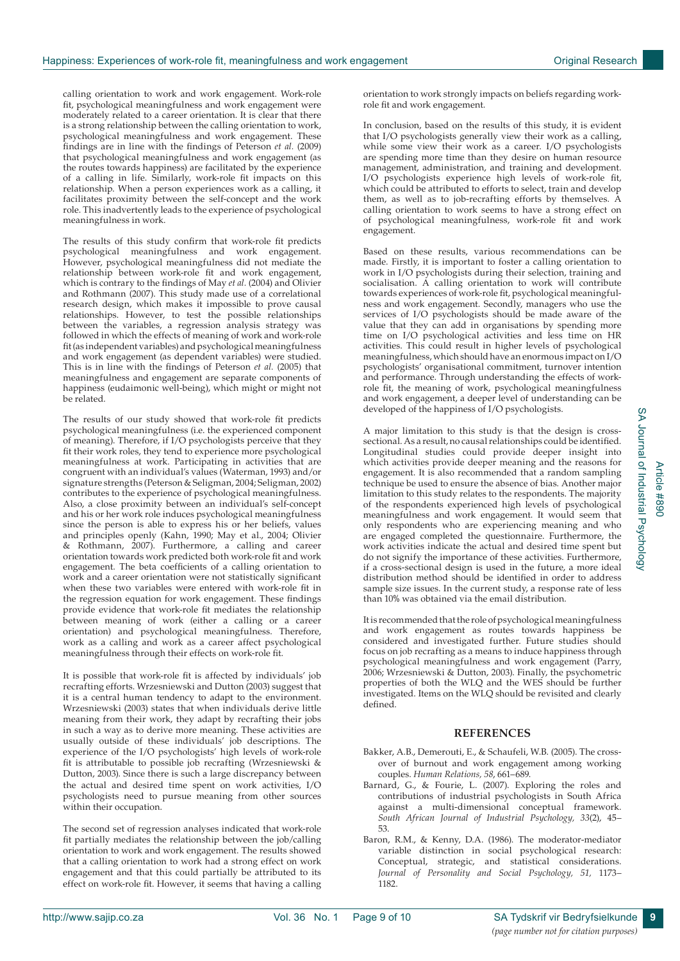calling orientation to work and work engagement. Work-role fit, psychological meaningfulness and work engagement were moderately related to a career orientation. It is clear that there is a strong relationship between the calling orientation to work, psychological meaningfulness and work engagement. These findings are in line with the findings of Peterson *et al.* (2009) that psychological meaningfulness and work engagement (as the routes towards happiness) are facilitated by the experience of a calling in life. Similarly, work-role fit impacts on this relationship. When a person experiences work as a calling, it facilitates proximity between the self-concept and the work role. This inadvertently leads to the experience of psychological meaningfulness in work.

The results of this study confirm that work-role fit predicts psychological meaningfulness and work engagement. However, psychological meaningfulness did not mediate the relationship between work-role fit and work engagement, which is contrary to the findings of May *et al.* (2004) and Olivier and Rothmann (2007). This study made use of a correlational research design, which makes it impossible to prove causal relationships. However, to test the possible relationships between the variables, a regression analysis strategy was followed in which the effects of meaning of work and work-role fit (as independent variables) and psychological meaningfulness and work engagement (as dependent variables) were studied. This is in line with the findings of Peterson *et al.* (2005) that meaningfulness and engagement are separate components of happiness (eudaimonic well-being), which might or might not be related.

The results of the distance of the system is the system of the system in the system of the system of the system of the system of the system of the system of the system of the system of the system of the system of the syst The results of our study showed that work-role fit predicts psychological meaningfulness (i.e. the experienced component of meaning). Therefore, if I/O psychologists perceive that they fit their work roles, they tend to experience more psychological meaningfulness at work. Participating in activities that are congruent with an individual's values (Waterman, 1993) and/or signature strengths (Peterson & Seligman, 2004; Seligman, 2002) contributes to the experience of psychological meaningfulness. Also, a close proximity between an individual's self-concept and his or her work role induces psychological meaningfulness since the person is able to express his or her beliefs, values and principles openly (Kahn, 1990; May et al., 2004; Olivier & Rothmann, 2007). Furthermore, a calling and career orientation towards work predicted both work-role fit and work engagement. The beta coefficients of a calling orientation to work and a career orientation were not statistically significant when these two variables were entered with work-role fit in the regression equation for work engagement. These findings provide evidence that work-role fit mediates the relationship between meaning of work (either a calling or a career orientation) and psychological meaningfulness. Therefore, work as a calling and work as a career affect psychological meaningfulness through their effects on work-role fit.

It is possible that work-role fit is affected by individuals' job recrafting efforts. Wrzesniewski and Dutton (2003) suggest that it is a central human tendency to adapt to the environment. Wrzesniewski (2003) states that when individuals derive little meaning from their work, they adapt by recrafting their jobs in such a way as to derive more meaning. These activities are usually outside of these individuals' job descriptions. The experience of the I/O psychologists' high levels of work-role fit is attributable to possible job recrafting (Wrzesniewski & Dutton, 2003). Since there is such a large discrepancy between the actual and desired time spent on work activities, I/O psychologists need to pursue meaning from other sources within their occupation.

The second set of regression analyses indicated that work-role fit partially mediates the relationship between the job/calling orientation to work and work engagement. The results showed that a calling orientation to work had a strong effect on work engagement and that this could partially be attributed to its effect on work-role fit. However, it seems that having a calling orientation to work strongly impacts on beliefs regarding workrole fit and work engagement.

In conclusion, based on the results of this study, it is evident that I/O psychologists generally view their work as a calling, while some view their work as a career. I/O psychologists are spending more time than they desire on human resource management, administration, and training and development. I/O psychologists experience high levels of work-role fit, which could be attributed to efforts to select, train and develop them, as well as to job-recrafting efforts by themselves. A calling orientation to work seems to have a strong effect on of psychological meaningfulness, work-role fit and work engagement.

Based on these results, various recommendations can be made. Firstly, it is important to foster a calling orientation to work in I/O psychologists during their selection, training and socialisation. A calling orientation to work will contribute towards experiences of work-role fit, psychological meaningfulness and work engagement. Secondly, managers who use the services of I/O psychologists should be made aware of the value that they can add in organisations by spending more time on I/O psychological activities and less time on HR activities. This could result in higher levels of psychological meaningfulness, which should have an enormous impact on I/O psychologists' organisational commitment, turnover intention and performance. Through understanding the effects of workrole fit, the meaning of work, psychological meaningfulness and work engagement, a deeper level of understanding can be developed of the happiness of I/O psychologists.

A major limitation to this study is that the design is crosssectional. As a result, no causal relationships could be identified. Longitudinal studies could provide deeper insight into which activities provide deeper meaning and the reasons for engagement. It is also recommended that a random sampling technique be used to ensure the absence of bias. Another major limitation to this study relates to the respondents. The majority of the respondents experienced high levels of psychological meaningfulness and work engagement. It would seem that only respondents who are experiencing meaning and who are engaged completed the questionnaire. Furthermore, the work activities indicate the actual and desired time spent but do not signify the importance of these activities. Furthermore, if a cross-sectional design is used in the future, a more ideal distribution method should be identified in order to address sample size issues. In the current study, a response rate of less than 10% was obtained via the email distribution.

It is recommended that the role of psychological meaningfulness and work engagement as routes towards happiness be considered and investigated further. Future studies should focus on job recrafting as a means to induce happiness through psychological meaningfulness and work engagement (Parry, 2006; Wrzesniewski & Dutton, 2003). Finally, the psychometric properties of both the WLQ and the WES should be further investigated. Items on the WLQ should be revisited and clearly defined.

#### **REFERENCES**

- Bakker, A.B., Demerouti, E., & Schaufeli, W.B. (2005). The crossover of burnout and work engagement among working couples. *Human Relations, 58*, 661–689.
- Barnard, G., & Fourie, L. (2007). Exploring the roles and contributions of industrial psychologists in South Africa against a multi-dimensional conceptual framework. *South African Journal of Industrial Psychology, 33*(2), 45– 53.
- Baron, R.M., & Kenny, D.A. (1986). The moderator-mediator variable distinction in social psychological research: Conceptual, strategic, and statistical considerations. *Journal of Personality and Social Psychology, 51,* 1173– 1182.